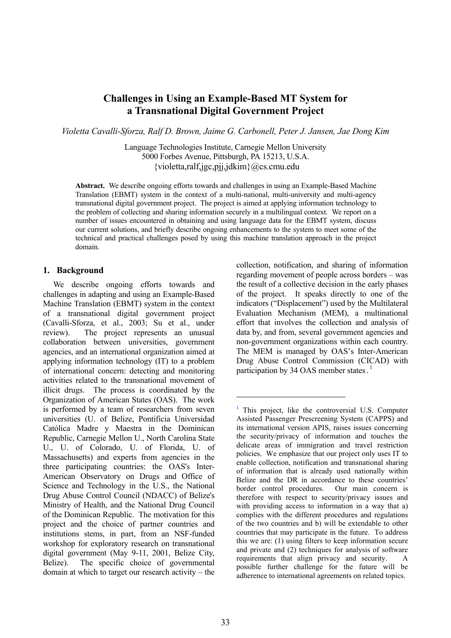# **Challenges in Using an Example-Based MT System for a Transnational Digital Government Project**

*Violetta Cavalli-Sforza, Ralf D. Brown, Jaime G. Carbonell, Peter J. Jansen, Jae Dong Kim*

Language Technologies Institute, Carnegie Mellon University 5000 Forbes Avenue, Pittsburgh, PA 15213, U.S.A. {violetta,ralf,jgc,pjj,jdkim}@cs.cmu.edu

**Abstract.** We describe ongoing efforts towards and challenges in using an Example-Based Machine Translation (EBMT) system in the context of a multi-national, multi-university and multi-agency transnational digital government project. The project is aimed at applying information technology to the problem of collecting and sharing information securely in a multilingual context. We report on a number of issues encountered in obtaining and using language data for the EBMT system, discuss our current solutions, and briefly describe ongoing enhancements to the system to meet some of the technical and practical challenges posed by using this machine translation approach in the project domain.

 $\overline{a}$ 

### **1. Background**

We describe ongoing efforts towards and challenges in adapting and using an Example-Based Machine Translation (EBMT) system in the context of a transnational digital government project (Cavalli-Sforza, et al., 2003; Su et al., under review). The project represents an unusual collaboration between universities, government agencies, and an international organization aimed at applying information technology (IT) to a problem of international concern: detecting and monitoring activities related to the transnational movement of illicit drugs. The process is coordinated by the Organization of American States (OAS). The work is performed by a team of researchers from seven universities (U. of Belize, Pontificia Universidad Católica Madre y Maestra in the Dominican Republic, Carnegie Mellon U., North Carolina State U., U. of Colorado, U. of Florida, U. of Massachusetts) and experts from agencies in the three participating countries: the OAS's Inter-American Observatory on Drugs and Office of Science and Technology in the U.S., the National Drug Abuse Control Council (NDACC) of Belize's Ministry of Health, and the National Drug Council of the Dominican Republic. The motivation for this project and the choice of partner countries and institutions stems, in part, from an NSF-funded workshop for exploratory research on transnational digital government (May 9-11, 2001, Belize City, Belize). The specific choice of governmental domain at which to target our research activity – the

collection, notification, and sharing of information regarding movement of people across borders – was the result of a collective decision in the early phases of the project. It speaks directly to one of the indicators ("Displacement") used by the Multilateral Evaluation Mechanism (MEM), a multinational effort that involves the collection and analysis of data by, and from, several government agencies and non-government organizations within each country. The MEM is managed by OAS's Inter-American Drug Abuse Control Commission (CICAD) with participation by 34 OAS member states.<sup>[1](#page-0-0)</sup>

<span id="page-0-0"></span> $<sup>1</sup>$  This project, like the controversial U.S. Computer</sup> Assisted Passenger Prescreening System (CAPPS) and its international version APIS, raises issues concerning the security/privacy of information and touches the delicate areas of immigration and travel restriction policies. We emphasize that our project only uses IT to enable collection, notification and transnational sharing of information that is already used nationally within Belize and the DR in accordance to these countries' border control procedures. Our main concern is therefore with respect to security/privacy issues and with providing access to information in a way that a) complies with the different procedures and regulations of the two countries and b) will be extendable to other countries that may participate in the future. To address this we are: (1) using filters to keep information secure and private and (2) techniques for analysis of software requirements that align privacy and security. A possible further challenge for the future will be adherence to international agreements on related topics.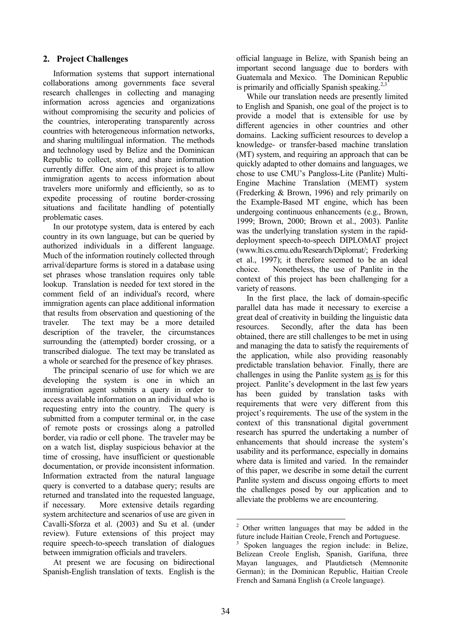# **2. Project Challenges**

Information systems that support international collaborations among governments face several research challenges in collecting and managing information across agencies and organizations without compromising the security and policies of the countries, interoperating transparently across countries with heterogeneous information networks, and sharing multilingual information. The methods and technology used by Belize and the Dominican Republic to collect, store, and share information currently differ. One aim of this project is to allow immigration agents to access information about travelers more uniformly and efficiently, so as to expedite processing of routine border-crossing situations and facilitate handling of potentially problematic cases.

In our prototype system, data is entered by each country in its own language, but can be queried by authorized individuals in a different language. Much of the information routinely collected through arrival/departure forms is stored in a database using set phrases whose translation requires only table lookup. Translation is needed for text stored in the comment field of an individual's record, where immigration agents can place additional information that results from observation and questioning of the traveler. The text may be a more detailed description of the traveler, the circumstances surrounding the (attempted) border crossing, or a transcribed dialogue. The text may be translated as a whole or searched for the presence of key phrases.

The principal scenario of use for which we are developing the system is one in which an immigration agent submits a query in order to access available information on an individual who is requesting entry into the country. The query is submitted from a computer terminal or, in the case of remote posts or crossings along a patrolled border, via radio or cell phone. The traveler may be on a watch list, display suspicious behavior at the time of crossing, have insufficient or questionable documentation, or provide inconsistent information. Information extracted from the natural language query is converted to a database query; results are returned and translated into the requested language, if necessary. More extensive details regarding system architecture and scenarios of use are given in Cavalli-Sforza et al. (2003) and Su et al. (under review). Future extensions of this project may require speech-to-speech translation of dialogues between immigration officials and travelers.

At present we are focusing on bidirectional Spanish-English translation of texts. English is the official language in Belize, with Spanish being an important second language due to borders with Guatemala and Mexico. The Dominican Republic is primarily and officially Spanish speaking.<sup>[2,](#page-1-0)[3](#page-1-1)</sup>

While our translation needs are presently limited to English and Spanish, one goal of the project is to provide a model that is extensible for use by different agencies in other countries and other domains. Lacking sufficient resources to develop a knowledge- or transfer-based machine translation (MT) system, and requiring an approach that can be quickly adapted to other domains and languages, we chose to use CMU's Pangloss-Lite (Panlite) Multi-Engine Machine Translation (MEMT) system (Frederking & Brown, 1996) and rely primarily on the Example-Based MT engine, which has been undergoing continuous enhancements (e.g., Brown, 1999; Brown, 2000; Brown et al., 2003). Panlite was the underlying translation system in the rapiddeployment speech-to-speech DIPLOMAT project (www.lti.cs.cmu.edu/Research/Diplomat/; Frederking et al., 1997); it therefore seemed to be an ideal choice. Nonetheless, the use of Panlite in the context of this project has been challenging for a variety of reasons.

In the first place, the lack of domain-specific parallel data has made it necessary to exercise a great deal of creativity in building the linguistic data resources. Secondly, after the data has been obtained, there are still challenges to be met in using and managing the data to satisfy the requirements of the application, while also providing reasonably predictable translation behavior. Finally, there are challenges in using the Panlite system as is for this project. Panlite's development in the last few years has been guided by translation tasks with requirements that were very different from this project's requirements. The use of the system in the context of this transnational digital government research has spurred the undertaking a number of enhancements that should increase the system's usability and its performance, especially in domains where data is limited and varied. In the remainder of this paper, we describe in some detail the current Panlite system and discuss ongoing efforts to meet the challenges posed by our application and to alleviate the problems we are encountering.

<span id="page-1-0"></span><sup>&</sup>lt;sup>2</sup> Other written languages that may be added in the future include Haitian Creole, French and Portuguese.

<span id="page-1-1"></span><sup>3</sup> Spoken languages the region include: in Belize, Belizean Creole English, Spanish, Garífuna, three Mayan languages, and Plautdietsch (Memnonite German); in the Dominican Republic, Haitian Creole French and Samaná English (a Creole language).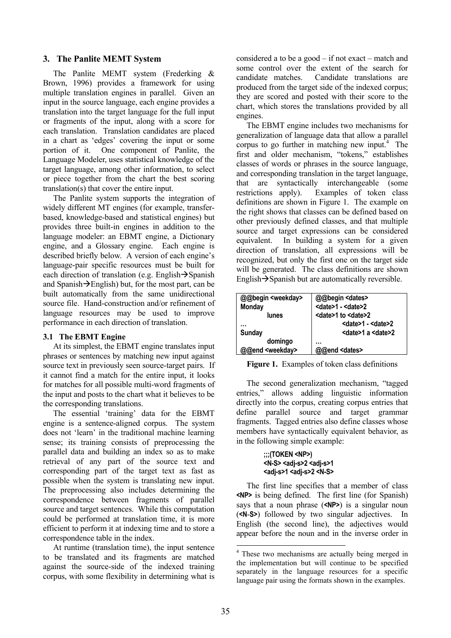### **3. The Panlite MEMT System**

The Panlite MEMT system (Frederking & Brown, 1996) provides a framework for using multiple translation engines in parallel. Given an input in the source language, each engine provides a translation into the target language for the full input or fragments of the input, along with a score for each translation. Translation candidates are placed in a chart as 'edges' covering the input or some portion of it. One component of Panlite, the Language Modeler, uses statistical knowledge of the target language, among other information, to select or piece together from the chart the best scoring translation(s) that cover the entire input.

The Panlite system supports the integration of widely different MT engines (for example, transferbased, knowledge-based and statistical engines) but provides three built-in engines in addition to the language modeler: an EBMT engine, a Dictionary engine, and a Glossary engine. Each engine is described briefly below. A version of each engine's language-pair specific resources must be built for each direction of translation (e.g. English $\rightarrow$ Spanish and Spanish $\rightarrow$ English) but, for the most part, can be built automatically from the same unidirectional source file. Hand-construction and/or refinement of language resources may be used to improve performance in each direction of translation.

### **3.1 The EBMT Engine**

At its simplest, the EBMT engine translates input phrases or sentences by matching new input against source text in previously seen source-target pairs. If it cannot find a match for the entire input, it looks for matches for all possible multi-word fragments of the input and posts to the chart what it believes to be the corresponding translations.

The essential 'training' data for the EBMT engine is a sentence-aligned corpus. The system does not 'learn' in the traditional machine learning sense; its training consists of preprocessing the parallel data and building an index so as to make retrieval of any part of the source text and corresponding part of the target text as fast as possible when the system is translating new input. The preprocessing also includes determining the correspondence between fragments of parallel source and target sentences. While this computation could be performed at translation time, it is more efficient to perform it at indexing time and to store a correspondence table in the index.

At runtime (translation time), the input sentence to be translated and its fragments are matched against the source-side of the indexed training corpus, with some flexibility in determining what is

considered a to be a good – if not exact – match and some control over the extent of the search for candidate matches. Candidate translations are produced from the target side of the indexed corpus; they are scored and posted with their score to the chart, which stores the translations provided by all engines.

The EBMT engine includes two mechanisms for generalization of language data that allow a parallel corpus to go further in matching new input. $4$  The first and older mechanism, "tokens," establishes classes of words or phrases in the source language, and corresponding translation in the target language, that are syntactically interchangeable (some restrictions apply). Examples of token class definitions are shown in Figure 1. The example on the right shows that classes can be defined based on other previously defined classes, and that multiple source and target expressions can be considered equivalent. In building a system for a given direction of translation, all expressions will be recognized, but only the first one on the target side will be generated. The class definitions are shown English $\rightarrow$ Spanish but are automatically reversible.

| @@begin <weekday></weekday> | @@begin <dates></dates>          |
|-----------------------------|----------------------------------|
| <b>Monday</b>               | <date>1 - <date>2</date></date>  |
| lunes                       | <date>1 to <date>2</date></date> |
|                             | <date>1 - <date>2</date></date>  |
| <b>Sunday</b>               | <date>1 a <date>2</date></date>  |
| domingo                     | .                                |
| @@end <weekday></weekday>   | @@end <dates></dates>            |

**Figure 1.** Examples of token class definitions

The second generalization mechanism, "tagged entries," allows adding linguistic information directly into the corpus, creating corpus entries that define parallel source and target grammar fragments. Tagged entries also define classes whose members have syntactically equivalent behavior, as in the following simple example:

#### **;;;(TOKEN <NP>) <N-S> <adj-s>2 <adj-s>1 <adj-s>1 <adj-s>2 <N-S>**

The first line specifies that a member of class **<NP>** is being defined. The first line (for Spanish) says that a noun phrase (**<NP>**) is a singular noun (**<N**-**S>**) followed by two singular adjectives. In English (the second line), the adjectives would appear before the noun and in the inverse order in

 $\overline{a}$ 

<span id="page-2-0"></span><sup>&</sup>lt;sup>4</sup> These two mechanisms are actually being merged in the implementation but will continue to be specified separately in the language resources for a specific language pair using the formats shown in the examples.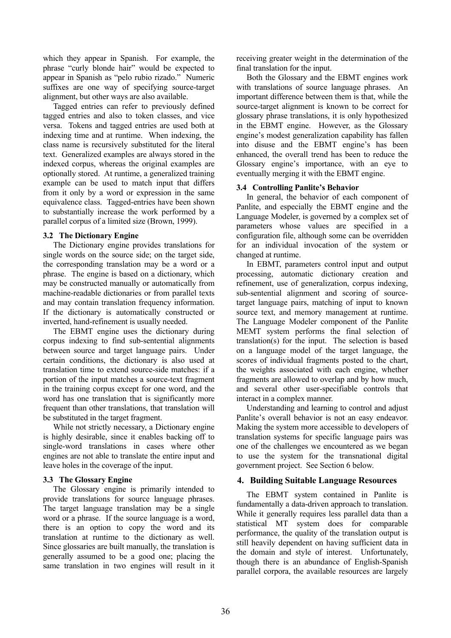which they appear in Spanish. For example, the phrase "curly blonde hair" would be expected to appear in Spanish as "pelo rubio rizado." Numeric suffixes are one way of specifying source-target alignment, but other ways are also available.

Tagged entries can refer to previously defined tagged entries and also to token classes, and vice versa. Tokens and tagged entries are used both at indexing time and at runtime. When indexing, the class name is recursively substituted for the literal text. Generalized examples are always stored in the indexed corpus, whereas the original examples are optionally stored. At runtime, a generalized training example can be used to match input that differs from it only by a word or expression in the same equivalence class. Tagged-entries have been shown to substantially increase the work performed by a parallel corpus of a limited size (Brown, 1999).

#### **3.2 The Dictionary Engine**

The Dictionary engine provides translations for single words on the source side; on the target side, the corresponding translation may be a word or a phrase. The engine is based on a dictionary, which may be constructed manually or automatically from machine-readable dictionaries or from parallel texts and may contain translation frequency information. If the dictionary is automatically constructed or inverted, hand-refinement is usually needed.

The EBMT engine uses the dictionary during corpus indexing to find sub-sentential alignments between source and target language pairs. Under certain conditions, the dictionary is also used at translation time to extend source-side matches: if a portion of the input matches a source-text fragment in the training corpus except for one word, and the word has one translation that is significantly more frequent than other translations, that translation will be substituted in the target fragment.

While not strictly necessary, a Dictionary engine is highly desirable, since it enables backing off to single-word translations in cases where other engines are not able to translate the entire input and leave holes in the coverage of the input.

### **3.3 The Glossary Engine**

The Glossary engine is primarily intended to provide translations for source language phrases. The target language translation may be a single word or a phrase. If the source language is a word, there is an option to copy the word and its translation at runtime to the dictionary as well. Since glossaries are built manually, the translation is generally assumed to be a good one; placing the same translation in two engines will result in it receiving greater weight in the determination of the final translation for the input.

Both the Glossary and the EBMT engines work with translations of source language phrases. An important difference between them is that, while the source-target alignment is known to be correct for glossary phrase translations, it is only hypothesized in the EBMT engine. However, as the Glossary engine's modest generalization capability has fallen into disuse and the EBMT engine's has been enhanced, the overall trend has been to reduce the Glossary engine's importance, with an eye to eventually merging it with the EBMT engine.

### **3.4 Controlling Panlite's Behavior**

In general, the behavior of each component of Panlite, and especially the EBMT engine and the Language Modeler, is governed by a complex set of parameters whose values are specified in a configuration file, although some can be overridden for an individual invocation of the system or changed at runtime.

In EBMT, parameters control input and output processing, automatic dictionary creation and refinement, use of generalization, corpus indexing, sub-sentential alignment and scoring of sourcetarget language pairs, matching of input to known source text, and memory management at runtime. The Language Modeler component of the Panlite MEMT system performs the final selection of translation(s) for the input. The selection is based on a language model of the target language, the scores of individual fragments posted to the chart, the weights associated with each engine, whether fragments are allowed to overlap and by how much, and several other user-specifiable controls that interact in a complex manner.

Understanding and learning to control and adjust Panlite's overall behavior is not an easy endeavor. Making the system more accessible to developers of translation systems for specific language pairs was one of the challenges we encountered as we began to use the system for the transnational digital government project. See Section 6 below.

## **4. Building Suitable Language Resources**

The EBMT system contained in Panlite is fundamentally a data-driven approach to translation. While it generally requires less parallel data than a statistical MT system does for comparable performance, the quality of the translation output is still heavily dependent on having sufficient data in the domain and style of interest. Unfortunately, though there is an abundance of English-Spanish parallel corpora, the available resources are largely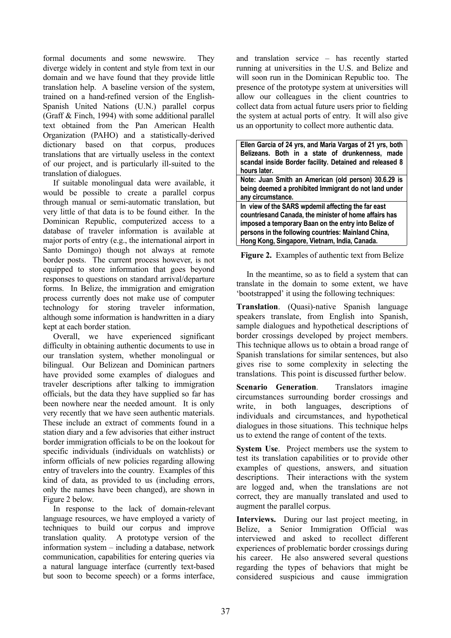formal documents and some newswire. They diverge widely in content and style from text in our domain and we have found that they provide little translation help. A baseline version of the system, trained on a hand-refined version of the English-Spanish United Nations (U.N.) parallel corpus (Graff & Finch, 1994) with some additional parallel text obtained from the Pan American Health Organization (PAHO) and a statistically-derived dictionary based on that corpus, produces translations that are virtually useless in the context of our project, and is particularly ill-suited to the translation of dialogues.

If suitable monolingual data were available, it would be possible to create a parallel corpus through manual or semi-automatic translation, but very little of that data is to be found either. In the Dominican Republic, computerized access to a database of traveler information is available at major ports of entry (e.g., the international airport in Santo Domingo) though not always at remote border posts. The current process however, is not equipped to store information that goes beyond responses to questions on standard arrival/departure forms. In Belize, the immigration and emigration process currently does not make use of computer technology for storing traveler information, although some information is handwritten in a diary kept at each border station.

Overall, we have experienced significant difficulty in obtaining authentic documents to use in our translation system, whether monolingual or bilingual. Our Belizean and Dominican partners have provided some examples of dialogues and traveler descriptions after talking to immigration officials, but the data they have supplied so far has been nowhere near the needed amount. It is only very recently that we have seen authentic materials. These include an extract of comments found in a station diary and a few advisories that either instruct border immigration officials to be on the lookout for specific individuals (individuals on watchlists) or inform officials of new policies regarding allowing entry of travelers into the country. Examples of this kind of data, as provided to us (including errors, only the names have been changed), are shown in Figure 2 below.

In response to the lack of domain-relevant language resources, we have employed a variety of techniques to build our corpus and improve translation quality. A prototype version of the information system – including a database, network communication, capabilities for entering queries via a natural language interface (currently text-based but soon to become speech) or a forms interface, and translation service – has recently started running at universities in the U.S. and Belize and will soon run in the Dominican Republic too. The presence of the prototype system at universities will allow our colleagues in the client countries to collect data from actual future users prior to fielding the system at actual ports of entry. It will also give us an opportunity to collect more authentic data.

| Ellen Garcia of 24 yrs, and Maria Vargas of 21 yrs, both<br>Belizeans. Both in a state of drunkenness, made<br>scandal inside Border facility. Detained and released 8<br>hours later.                                                                                      |
|-----------------------------------------------------------------------------------------------------------------------------------------------------------------------------------------------------------------------------------------------------------------------------|
| Note: Juan Smith an American (old person) 30.6.29 is<br>being deemed a prohibited Immigrant do not land under<br>any circumstance.                                                                                                                                          |
| In view of the SARS wpdemil affecting the far east<br>countriesand Canada, the minister of home affairs has<br>imposed a temporary Baan on the entry into Belize of<br>persons in the following countries: Mainland China,<br>Hong Kong, Singapore, Vietnam, India, Canada. |

**Figure 2.** Examples of authentic text from Belize

In the meantime, so as to field a system that can translate in the domain to some extent, we have 'bootstrapped' it using the following techniques:

**Translation**. (Quasi)-native Spanish language speakers translate, from English into Spanish, sample dialogues and hypothetical descriptions of border crossings developed by project members. This technique allows us to obtain a broad range of Spanish translations for similar sentences, but also gives rise to some complexity in selecting the translations. This point is discussed further below.

**Scenario Generation**. Translators imagine circumstances surrounding border crossings and write, in both languages, descriptions of individuals and circumstances, and hypothetical dialogues in those situations. This technique helps us to extend the range of content of the texts.

**System Use.** Project members use the system to test its translation capabilities or to provide other examples of questions, answers, and situation descriptions. Their interactions with the system are logged and, when the translations are not correct, they are manually translated and used to augment the parallel corpus.

**Interviews.** During our last project meeting, in Belize, a Senior Immigration Official was interviewed and asked to recollect different experiences of problematic border crossings during his career. He also answered several questions regarding the types of behaviors that might be considered suspicious and cause immigration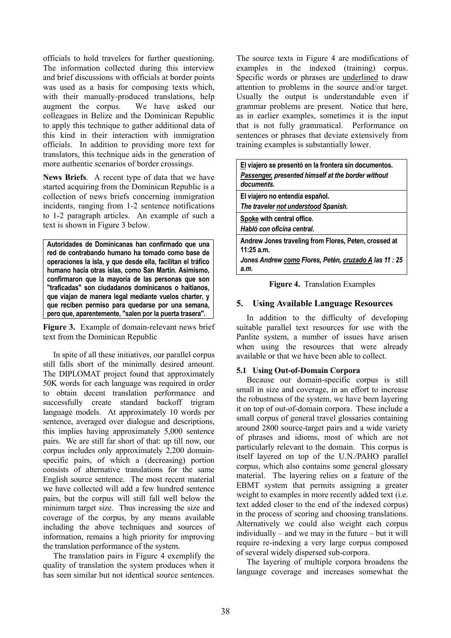officials to hold travelers for further questioning. The information collected during this interview and brief discussions with officials at border points was used as a basis for composing texts which, with their manually-produced translations, help augment the corpus. We have asked our colleagues in Belize and the Dominican Republic to apply this technique to gather additional data of this kind in their interaction with immigration officials. In addition to providing more text for translators, this technique aids in the generation of more authentic scenarios of border crossings.

**News Briefs**. A recent type of data that we have started acquiring from the Dominican Republic is a collection of news briefs concerning immigration incidents, ranging from 1-2 sentence notifications to 1-2 paragraph articles. An example of such a text is shown in Figure 3 below.

**Autoridades de Dominicanas han confirmado que una red de contrabando humano ha tomado como base de operaciones la isla, y que desde ella, facilitan el tráfico humano hacia otras islas, como San Martín. Asimismo, confirmaron que la mayoría de las personas que son "traficadas" son ciudadanos dominicanos o haitianos, que viajan de manera legal mediante vuelos charter, y que reciben permiso para quedarse por una semana, pero que, aparentemente, "salen por la puerta trasera".**

**Figure 3.** Example of domain-relevant news brief text from the Dominican Republic

In spite of all these initiatives, our parallel corpus still falls short of the minimally desired amount. The DIPLOMAT project found that approximately 50K words for each language was required in order to obtain decent translation performance and successfully create standard backoff trigram language models. At approximately 10 words per sentence, averaged over dialogue and descriptions, this implies having approximately 5,000 sentence pairs. We are still far short of that: up till now, our corpus includes only approximately 2,200 domainspecific pairs, of which a (decreasing) portion consists of alternative translations for the same English source sentence. The most recent material we have collected will add a few hundred sentence pairs, but the corpus will still fall well below the minimum target size. Thus increasing the size and coverage of the corpus, by any means available including the above techniques and sources of information, remains a high priority for improving the translation performance of the system.

The translation pairs in Figure 4 exemplify the quality of translation the system produces when it has seen similar but not identical source sentences.

The source texts in Figure 4 are modifications of examples in the indexed (training) corpus. Specific words or phrases are underlined to draw attention to problems in the source and/or target. Usually the output is understandable even if grammar problems are present. Notice that here, as in earlier examples, sometimes it is the input that is not fully grammatical. Performance on sentences or phrases that deviate extensively from training examples is substantially lower.

| El viajero se presentó en la frontera sin documentos.<br>Passenger, presented himself at the border without<br>documents. |
|---------------------------------------------------------------------------------------------------------------------------|
| El viajero no entendía español.<br>The traveler not understood Spanish.                                                   |
| Spoke with central office.<br>Habló con oficina central.                                                                  |
| Andrew Jones traveling from Flores, Peten, crossed at<br>$11:25$ a.m.                                                     |
| Jones Andrew como Flores, Petén, cruzado A las 11 : 25<br>a.m.                                                            |

**Figure 4.** Translation Examples

## **5. Using Available Language Resources**

In addition to the difficulty of developing suitable parallel text resources for use with the Panlite system, a number of issues have arisen when using the resources that were already available or that we have been able to collect.

### **5.1 Using Out-of-Domain Corpora**

Because our domain-specific corpus is still small in size and coverage, in an effort to increase the robustness of the system, we have been layering it on top of out-of-domain corpora. These include a small corpus of general travel glossaries containing around 2800 source-target pairs and a wide variety of phrases and idioms, most of which are not particularly relevant to the domain. This corpus is itself layered on top of the U.N./PAHO parallel corpus, which also contains some general glossary material. The layering relies on a feature of the EBMT system that permits assigning a greater weight to examples in more recently added text (i.e. text added closer to the end of the indexed corpus) in the process of scoring and choosing translations. Alternatively we could also weight each corpus individually – and we may in the future – but it will require re-indexing a very large corpus composed of several widely dispersed sub-corpora.

The layering of multiple corpora broadens the language coverage and increases somewhat the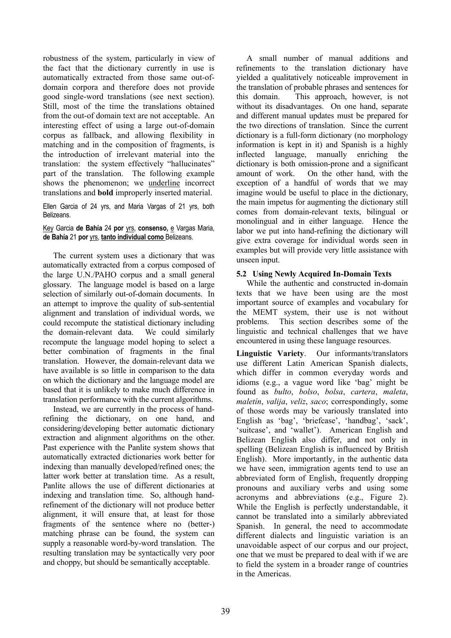robustness of the system, particularly in view of the fact that the dictionary currently in use is automatically extracted from those same out-ofdomain corpora and therefore does not provide good single-word translations (see next section). Still, most of the time the translations obtained from the out-of domain text are not acceptable. An interesting effect of using a large out-of-domain corpus as fallback, and allowing flexibility in matching and in the composition of fragments, is the introduction of irrelevant material into the translation: the system effectively "hallucinates" part of the translation. The following example shows the phenomenon; we underline incorrect translations and **bold** improperly inserted material.

Ellen Garcia of 24 yrs, and Maria Vargas of 21 yrs, both Belizeans.

#### Key Garcia **de Bahía** 24 **por** yrs, **consenso,** e Vargas Maria, **de Bahía** 21 **por** yrs, **tanto individual como** Belizeans.

The current system uses a dictionary that was automatically extracted from a corpus composed of the large U.N./PAHO corpus and a small general glossary. The language model is based on a large selection of similarly out-of-domain documents. In an attempt to improve the quality of sub-sentential alignment and translation of individual words, we could recompute the statistical dictionary including the domain-relevant data. We could similarly recompute the language model hoping to select a better combination of fragments in the final translation. However, the domain-relevant data we have available is so little in comparison to the data on which the dictionary and the language model are based that it is unlikely to make much difference in translation performance with the current algorithms.

Instead, we are currently in the process of handrefining the dictionary, on one hand, and considering/developing better automatic dictionary extraction and alignment algorithms on the other. Past experience with the Panlite system shows that automatically extracted dictionaries work better for indexing than manually developed/refined ones; the latter work better at translation time. As a result, Panlite allows the use of different dictionaries at indexing and translation time. So, although handrefinement of the dictionary will not produce better alignment, it will ensure that, at least for those fragments of the sentence where no (better-) matching phrase can be found, the system can supply a reasonable word-by-word translation. The resulting translation may be syntactically very poor and choppy, but should be semantically acceptable.

A small number of manual additions and refinements to the translation dictionary have yielded a qualitatively noticeable improvement in the translation of probable phrases and sentences for this domain. This approach, however, is not without its disadvantages. On one hand, separate and different manual updates must be prepared for the two directions of translation. Since the current dictionary is a full-form dictionary (no morphology information is kept in it) and Spanish is a highly inflected language, manually enriching the dictionary is both omission-prone and a significant amount of work. On the other hand, with the exception of a handful of words that we may imagine would be useful to place in the dictionary, the main impetus for augmenting the dictionary still comes from domain-relevant texts, bilingual or monolingual and in either language. Hence the labor we put into hand-refining the dictionary will give extra coverage for individual words seen in examples but will provide very little assistance with unseen input.

### **5.2 Using Newly Acquired In-Domain Texts**

While the authentic and constructed in-domain texts that we have been using are the most important source of examples and vocabulary for the MEMT system, their use is not without problems. This section describes some of the linguistic and technical challenges that we have encountered in using these language resources.

**Linguistic Variety**. Our informants/translators use different Latin American Spanish dialects, which differ in common everyday words and idioms (e.g., a vague word like 'bag' might be found as *bulto*, *bolso*, *bolsa*, *cartera*, *maleta*, *maletín*, *valija*, *veliz*, *saco*; correspondingly, some of those words may be variously translated into English as 'bag', 'briefcase', 'handbag', 'sack', 'suitcase', and 'wallet'). American English and Belizean English also differ, and not only in spelling (Belizean English is influenced by British English). More importantly, in the authentic data we have seen, immigration agents tend to use an abbreviated form of English, frequently dropping pronouns and auxiliary verbs and using some acronyms and abbreviations (e.g., Figure 2). While the English is perfectly understandable, it cannot be translated into a similarly abbreviated Spanish. In general, the need to accommodate different dialects and linguistic variation is an unavoidable aspect of our corpus and our project, one that we must be prepared to deal with if we are to field the system in a broader range of countries in the Americas.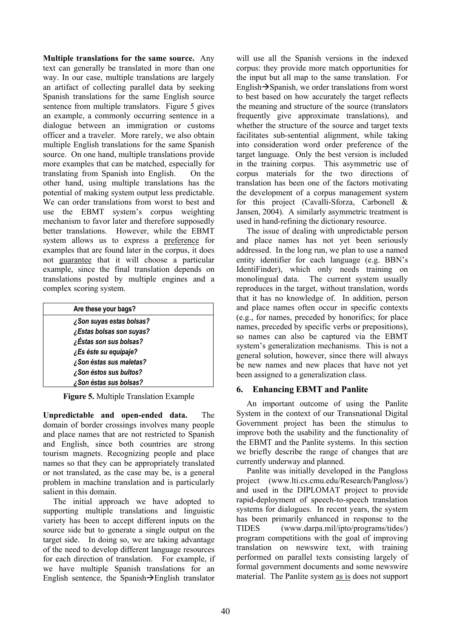**Multiple translations for the same source.** Any text can generally be translated in more than one way. In our case, multiple translations are largely an artifact of collecting parallel data by seeking Spanish translations for the same English source sentence from multiple translators. Figure 5 gives an example, a commonly occurring sentence in a dialogue between an immigration or customs officer and a traveler. More rarely, we also obtain multiple English translations for the same Spanish source. On one hand, multiple translations provide more examples that can be matched, especially for translating from Spanish into English. On the other hand, using multiple translations has the potential of making system output less predictable. We can order translations from worst to best and use the EBMT system's corpus weighting mechanism to favor later and therefore supposedly better translations. However, while the EBMT system allows us to express a preference for examples that are found later in the corpus, it does not guarantee that it will choose a particular example, since the final translation depends on translations posted by multiple engines and a complex scoring system.

| Are these your bags?     |
|--------------------------|
| ¿Son suyas estas bolsas? |
| ¿Estas bolsas son suyas? |
| ¿Éstas son sus bolsas?   |
| ¿Es éste su equipaje?    |
| ¿Son éstas sus maletas?  |
| ¿Son éstos sus bultos?   |
| ¿Son éstas sus bolsas?   |

**Figure 5.** Multiple Translation Example

**Unpredictable and open-ended data.** The domain of border crossings involves many people and place names that are not restricted to Spanish and English, since both countries are strong tourism magnets. Recognizing people and place names so that they can be appropriately translated or not translated, as the case may be, is a general problem in machine translation and is particularly salient in this domain.

The initial approach we have adopted to supporting multiple translations and linguistic variety has been to accept different inputs on the source side but to generate a single output on the target side. In doing so, we are taking advantage of the need to develop different language resources for each direction of translation. For example, if we have multiple Spanish translations for an English sentence, the Spanish $\rightarrow$ English translator will use all the Spanish versions in the indexed corpus: they provide more match opportunities for the input but all map to the same translation. For English $\rightarrow$ Spanish, we order translations from worst to best based on how accurately the target reflects the meaning and structure of the source (translators frequently give approximate translations), and whether the structure of the source and target texts facilitates sub-sentential alignment, while taking into consideration word order preference of the target language. Only the best version is included in the training corpus. This asymmetric use of corpus materials for the two directions of translation has been one of the factors motivating the development of a corpus management system for this project (Cavalli-Sforza, Carbonell & Jansen, 2004). A similarly asymmetric treatment is used in hand-refining the dictionary resource.

The issue of dealing with unpredictable person and place names has not yet been seriously addressed. In the long run, we plan to use a named entity identifier for each language (e.g. BBN's IdentiFinder), which only needs training on monolingual data. The current system usually reproduces in the target, without translation, words that it has no knowledge of. In addition, person and place names often occur in specific contexts (e.g., for names, preceded by honorifics; for place names, preceded by specific verbs or prepositions), so names can also be captured via the EBMT system's generalization mechanisms. This is not a general solution, however, since there will always be new names and new places that have not yet been assigned to a generalization class.

# **6. Enhancing EBMT and Panlite**

An important outcome of using the Panlite System in the context of our Transnational Digital Government project has been the stimulus to improve both the usability and the functionality of the EBMT and the Panlite systems. In this section we briefly describe the range of changes that are currently underway and planned.

Panlite was initially developed in the Pangloss project (www.lti.cs.cmu.edu/Research/Pangloss/) and used in the DIPLOMAT project to provide rapid-deployment of speech-to-speech translation systems for dialogues. In recent years, the system has been primarily enhanced in response to the TIDES (www.darpa.mil/ipto/programs/tides/) program competitions with the goal of improving translation on newswire text, with training performed on parallel texts consisting largely of formal government documents and some newswire material. The Panlite system as is does not support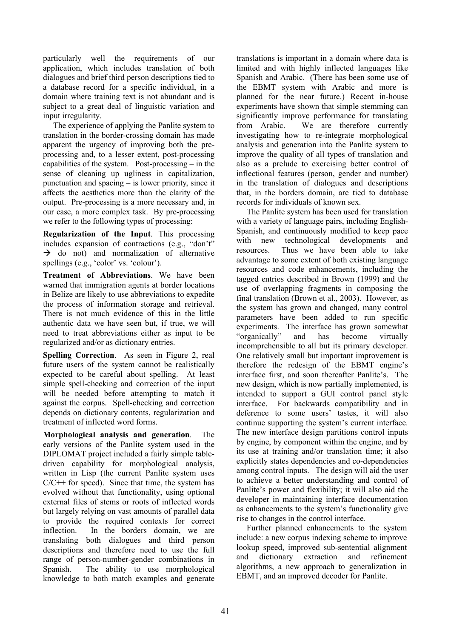particularly well the requirements of our application, which includes translation of both dialogues and brief third person descriptions tied to a database record for a specific individual, in a domain where training text is not abundant and is subject to a great deal of linguistic variation and input irregularity.

The experience of applying the Panlite system to translation in the border-crossing domain has made apparent the urgency of improving both the preprocessing and, to a lesser extent, post-processing capabilities of the system. Post-processing – in the sense of cleaning up ugliness in capitalization, punctuation and spacing – is lower priority, since it affects the aesthetics more than the clarity of the output. Pre-processing is a more necessary and, in our case, a more complex task. By pre-processing we refer to the following types of processing:

**Regularization of the Input**. This processing includes expansion of contractions (e.g., "don't"  $\rightarrow$  do not) and normalization of alternative spellings (e.g., 'color' vs. 'colour').

**Treatment of Abbreviations**. We have been warned that immigration agents at border locations in Belize are likely to use abbreviations to expedite the process of information storage and retrieval. There is not much evidence of this in the little authentic data we have seen but, if true, we will need to treat abbreviations either as input to be regularized and/or as dictionary entries.

**Spelling Correction.** As seen in Figure 2, real future users of the system cannot be realistically expected to be careful about spelling. At least simple spell-checking and correction of the input will be needed before attempting to match it against the corpus. Spell-checking and correction depends on dictionary contents, regularization and treatment of inflected word forms.

**Morphological analysis and generation**. The early versions of the Panlite system used in the DIPLOMAT project included a fairly simple tabledriven capability for morphological analysis, written in Lisp (the current Panlite system uses  $C/C++$  for speed). Since that time, the system has evolved without that functionality, using optional external files of stems or roots of inflected words but largely relying on vast amounts of parallel data to provide the required contexts for correct inflection. In the borders domain, we are translating both dialogues and third person descriptions and therefore need to use the full range of person-number-gender combinations in Spanish. The ability to use morphological knowledge to both match examples and generate translations is important in a domain where data is limited and with highly inflected languages like Spanish and Arabic. (There has been some use of the EBMT system with Arabic and more is planned for the near future.) Recent in-house experiments have shown that simple stemming can significantly improve performance for translating from Arabic. We are therefore currently investigating how to re-integrate morphological analysis and generation into the Panlite system to improve the quality of all types of translation and also as a prelude to exercising better control of inflectional features (person, gender and number) in the translation of dialogues and descriptions that, in the borders domain, are tied to database records for individuals of known sex.

The Panlite system has been used for translation with a variety of language pairs, including English-Spanish, and continuously modified to keep pace with new technological developments and resources. Thus we have been able to take advantage to some extent of both existing language resources and code enhancements, including the tagged entries described in Brown (1999) and the use of overlapping fragments in composing the final translation (Brown et al., 2003). However, as the system has grown and changed, many control parameters have been added to run specific experiments. The interface has grown somewhat "organically" and has become virtually incomprehensible to all but its primary developer. One relatively small but important improvement is therefore the redesign of the EBMT engine's interface first, and soon thereafter Panlite's. The new design, which is now partially implemented, is intended to support a GUI control panel style interface. For backwards compatibility and in deference to some users' tastes, it will also continue supporting the system's current interface. The new interface design partitions control inputs by engine, by component within the engine, and by its use at training and/or translation time; it also explicitly states dependencies and co-dependencies among control inputs. The design will aid the user to achieve a better understanding and control of Panlite's power and flexibility; it will also aid the developer in maintaining interface documentation as enhancements to the system's functionality give rise to changes in the control interface.

Further planned enhancements to the system include: a new corpus indexing scheme to improve lookup speed, improved sub-sentential alignment and dictionary extraction and refinement algorithms, a new approach to generalization in EBMT, and an improved decoder for Panlite.